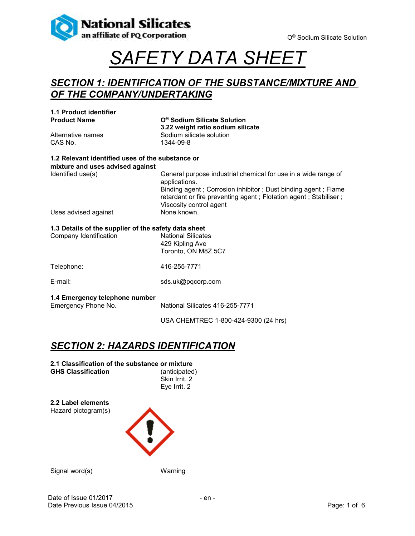

# *SAFETY DATA SHEET*

#### *SECTION 1: IDENTIFICATION OF THE SUBSTANCE/MIXTURE AND OF THE COMPANY/UNDERTAKING*

| 1.1 Product identifier<br><b>Product Name</b>         | O <sup>®</sup> Sodium Silicate Solution                                                                                                                                                                                                         |  |
|-------------------------------------------------------|-------------------------------------------------------------------------------------------------------------------------------------------------------------------------------------------------------------------------------------------------|--|
| Alternative names<br>CAS No.                          | 3.22 weight ratio sodium silicate<br>Sodium silicate solution<br>1344-09-8                                                                                                                                                                      |  |
| 1.2 Relevant identified uses of the substance or      |                                                                                                                                                                                                                                                 |  |
| mixture and uses advised against<br>Identified use(s) | General purpose industrial chemical for use in a wide range of<br>applications.<br>Binding agent; Corrosion inhibitor; Dust binding agent; Flame<br>retardant or fire preventing agent; Flotation agent; Stabiliser;<br>Viscosity control agent |  |
| Uses advised against                                  | None known.                                                                                                                                                                                                                                     |  |
| 1.3 Details of the supplier of the safety data sheet  |                                                                                                                                                                                                                                                 |  |
| Company Identification                                | <b>National Silicates</b><br>429 Kipling Ave<br>Toronto, ON M8Z 5C7                                                                                                                                                                             |  |
| Telephone:                                            | 416-255-7771                                                                                                                                                                                                                                    |  |
| E-mail:                                               | sds.uk@pqcorp.com                                                                                                                                                                                                                               |  |
| 1.4 Emergency telephone number<br>Emergency Phone No. | National Silicates 416-255-7771                                                                                                                                                                                                                 |  |
|                                                       | USA CHEMTREC 1-800-424-9300 (24 hrs)                                                                                                                                                                                                            |  |

### *SECTION 2: HAZARDS IDENTIFICATION*

| 2.1 Classification of the substance or mixture |               |
|------------------------------------------------|---------------|
| <b>GHS Classification</b>                      | (anticipated) |
|                                                | Skin Irrit. 2 |
|                                                | Eye Irrit. 2  |

**2.2 Label elements** Hazard pictogram(s)



Signal word(s) Warning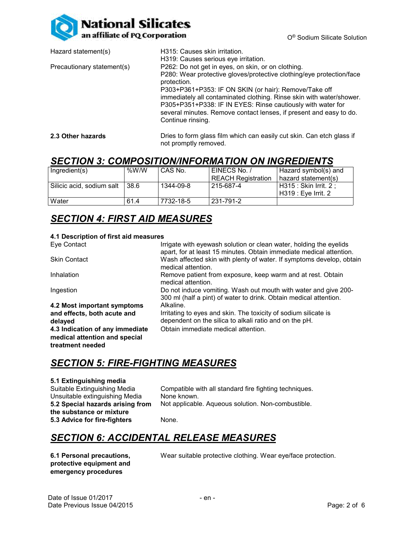

| Hazard statement(s)        | H315: Causes skin irritation.                                                                                                                          |
|----------------------------|--------------------------------------------------------------------------------------------------------------------------------------------------------|
|                            | H319: Causes serious eye irritation.                                                                                                                   |
| Precautionary statement(s) | P262: Do not get in eyes, on skin, or on clothing.                                                                                                     |
|                            | P280: Wear protective gloves/protective clothing/eye protection/face<br>protection.                                                                    |
|                            | P303+P361+P353: IF ON SKIN (or hair): Remove/Take off                                                                                                  |
|                            | immediately all contaminated clothing. Rinse skin with water/shower.                                                                                   |
|                            | P305+P351+P338: IF IN EYES: Rinse cautiously with water for<br>several minutes. Remove contact lenses, if present and easy to do.<br>Continue rinsing. |
|                            |                                                                                                                                                        |

**2.3 Other hazards Dries to form glass film which can easily cut skin. Can etch glass if** not promptly removed.

#### *SECTION 3: COMPOSITION/INFORMATION ON INGREDIENTS*

| Ingradient(s)             | %W/W | CAS No.   | EINECS No. /       | Hazard symbol(s) and   |
|---------------------------|------|-----------|--------------------|------------------------|
|                           |      |           | REACH Registration | hazard statement(s)    |
| Silicic acid, sodium salt | 38.6 | 1344-09-8 | 215-687-4          | H315 : Skin Irrit. 2 : |
|                           |      |           |                    | H319 : Eve Irrit. 2    |
| Water                     | 61.4 | 7732-18-5 | 231-791-2          |                        |

### *SECTION 4: FIRST AID MEASURES*

#### **4.1 Description of first aid measures**

| Eye Contact                                                                          | Irrigate with eyewash solution or clean water, holding the eyelids<br>apart, for at least 15 minutes. Obtain immediate medical attention. |
|--------------------------------------------------------------------------------------|-------------------------------------------------------------------------------------------------------------------------------------------|
| <b>Skin Contact</b>                                                                  | Wash affected skin with plenty of water. If symptoms develop, obtain<br>medical attention.                                                |
| Inhalation                                                                           | Remove patient from exposure, keep warm and at rest. Obtain<br>medical attention.                                                         |
| Ingestion                                                                            | Do not induce vomiting. Wash out mouth with water and give 200-<br>300 ml (half a pint) of water to drink. Obtain medical attention.      |
| 4.2 Most important symptoms                                                          | Alkaline.                                                                                                                                 |
| and effects, both acute and                                                          | Irritating to eyes and skin. The toxicity of sodium silicate is                                                                           |
| delayed                                                                              | dependent on the silica to alkali ratio and on the pH.                                                                                    |
| 4.3 Indication of any immediate<br>medical attention and special<br>treatment needed | Obtain immediate medical attention.                                                                                                       |

#### *SECTION 5: FIRE-FIGHTING MEASURES*

#### **5.1 Extinguishing media**

| Compatible with all standard fire fighting techniques. |
|--------------------------------------------------------|
| None known.                                            |
| Not applicable. Aqueous solution. Non-combustible.     |
|                                                        |
| None.                                                  |
|                                                        |

#### *SECTION 6: ACCIDENTAL RELEASE MEASURES*

**6.1 Personal precautions, protective equipment and emergency procedures**

Wear suitable protective clothing. Wear eye/face protection.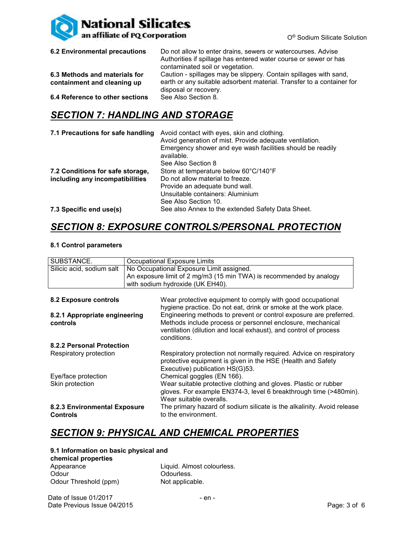

| 6.2 Environmental precautions                                | Do not allow to enter drains, sewers or watercourses. Advise<br>Authorities if spillage has entered water course or sewer or has<br>contaminated soil or vegetation. |
|--------------------------------------------------------------|----------------------------------------------------------------------------------------------------------------------------------------------------------------------|
| 6.3 Methods and materials for<br>containment and cleaning up | Caution - spillages may be slippery. Contain spillages with sand,<br>earth or any suitable adsorbent material. Transfer to a container for<br>disposal or recovery.  |
| 6.4 Reference to other sections                              | See Also Section 8.                                                                                                                                                  |

### *SECTION 7: HANDLING AND STORAGE*

| 7.1 Precautions for safe handling                                   | Avoid contact with eyes, skin and clothing.<br>Avoid generation of mist. Provide adequate ventilation.<br>Emergency shower and eye wash facilities should be readily<br>available.<br>See Also Section 8 |
|---------------------------------------------------------------------|----------------------------------------------------------------------------------------------------------------------------------------------------------------------------------------------------------|
| 7.2 Conditions for safe storage,<br>including any incompatibilities | Store at temperature below 60°C/140°F<br>Do not allow material to freeze.<br>Provide an adequate bund wall.<br>Unsuitable containers: Aluminium                                                          |
| 7.3 Specific end use(s)                                             | See Also Section 10.<br>See also Annex to the extended Safety Data Sheet.                                                                                                                                |

### *SECTION 8: EXPOSURE CONTROLS/PERSONAL PROTECTION*

#### **8.1 Control parameters**

| SUBSTANCE.                                      | Occupational Exposure Limits                                                                                                                                                                                       |  |  |
|-------------------------------------------------|--------------------------------------------------------------------------------------------------------------------------------------------------------------------------------------------------------------------|--|--|
| Silicic acid, sodium salt                       | No Occupational Exposure Limit assigned.                                                                                                                                                                           |  |  |
|                                                 | An exposure limit of 2 mg/m3 (15 min TWA) is recommended by analogy                                                                                                                                                |  |  |
|                                                 | with sodium hydroxide (UK EH40).                                                                                                                                                                                   |  |  |
|                                                 |                                                                                                                                                                                                                    |  |  |
|                                                 |                                                                                                                                                                                                                    |  |  |
| 8.2 Exposure controls                           | Wear protective equipment to comply with good occupational<br>hygiene practice. Do not eat, drink or smoke at the work place.                                                                                      |  |  |
| 8.2.1 Appropriate engineering<br>controls       | Engineering methods to prevent or control exposure are preferred.<br>Methods include process or personnel enclosure, mechanical<br>ventilation (dilution and local exhaust), and control of process<br>conditions. |  |  |
| 8.2.2 Personal Protection                       |                                                                                                                                                                                                                    |  |  |
| Respiratory protection                          | Respiratory protection not normally required. Advice on respiratory<br>protective equipment is given in the HSE (Health and Safety<br>Executive) publication HS(G)53.                                              |  |  |
| Eye/face protection                             | Chemical goggles (EN 166).                                                                                                                                                                                         |  |  |
| Skin protection                                 | Wear suitable protective clothing and gloves. Plastic or rubber<br>gloves. For example EN374-3, level 6 breakthrough time (>480min).<br>Wear suitable overalls.                                                    |  |  |
| 8.2.3 Environmental Exposure<br><b>Controls</b> | The primary hazard of sodium silicate is the alkalinity. Avoid release<br>to the environment.                                                                                                                      |  |  |

### *SECTION 9: PHYSICAL AND CHEMICAL PROPERTIES*

#### **9.1 Information on basic physical and**

| chemical properties   |                            |
|-----------------------|----------------------------|
| Appearance            | Liquid. Almost colourless. |
| Odour                 | Odourless.                 |
| Odour Threshold (ppm) | Not applicable.            |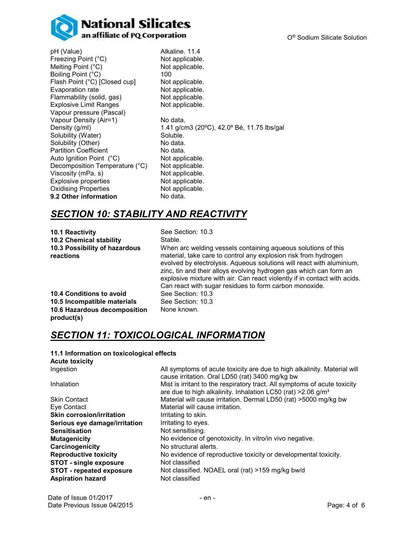

pH (Value) Alkaline. 11.4 Freezing Point (°C) Not applicable.<br>
Melting Point (°C) Not applicable. Melting Point  $(^{\circ}\mathrm{C})$ Boiling Point (°C) 100 Flash Point (°C) [Closed cup] Not applicable. Evaporation rate **Not applicable.**<br>Flammability (solid, gas) **Not applicable.** Flammability (solid, gas) Explosive Limit Ranges Not applicable. Vapour pressure (Pascal) Vapour Density (Air=1) No data.<br>Density (g/ml) 1.41 g/cr Solubility (Water) Solubility (Other) No data.<br>
Partition Coefficient No data. Partition Coefficient **No data.**<br>
Auto Ignition Point (°C) Not applicable. Auto Ignition Point (°C) Not applicable.<br>Decomposition Temperature (°C) Not applicable. Decomposition Temperature (°C) Viscosity (mPa. s) Not applicable.<br>Explosive properties Not applicable. Explosive properties Not applicable.<br>
Oxidising Properties Not applicable. **Oxidising Properties 9.2 Other information** No data.

1.41 g/cm3 (20°C), 42.0° Bé, 11.75 lbs/gal<br>Soluble.

## *SECTION 10: STABILITY AND REACTIVITY*

**10.1 Reactivity** See Section: 10.3 **10.2 Chemical stability Stable. 10.3 Possibility of hazardous reactions**

When arc welding vessels containing aqueous solutions of this material, take care to control any explosion risk from hydrogen evolved by electrolysis. Aqueous solutions will react with aluminium, zinc, tin and their alloys evolving hydrogen gas which can form an explosive mixture with air. Can react violently if in contact with acids. Can react with sugar residues to form carbon monoxide. **10.4 Conditions to avoid** See Section: 10.3 None known.

**10.5 Incompatible materials** See Section: 10.3 **10.6 Hazardous decomposition product(s)**

### *SECTION 11: TOXICOLOGICAL INFORMATION*

#### **11.1 Information on toxicological effects Acute toxicity** Ingestion All symptoms of acute toxicity are due to high alkalinity. Material will cause irritation. Oral LD50 (rat) 3400 mg/kg bw Inhalation **Mist is irritant to the respiratory tract.** All symptoms of acute toxicity are due to high alkalinity. Inhalation LC50 (rat)  $>2.06$  g/m<sup>3</sup> Skin Contact Material will cause irritation. Dermal LD50 (rat) >5000 mg/kg bw Eye Contact **Material will cause irritation. Skin corrosion/irritation** Irritating to skin. **Serious eye damage/irritation** Irritating to eyes. **Sensitisation** Not sensitising. **Mutagenicity** Mutagenicity No evidence of genotoxicity. In vitro/in vivo negative. **Carcinogenicity** No structural alerts. **Reproductive toxicity** No evidence of reproductive toxicity or developmental toxicity. **STOT - single exposure** Not classified **STOT - repeated exposure** Not classified. NOAEL oral (rat) >159 mg/kg bw/d **Aspiration hazard** Not classified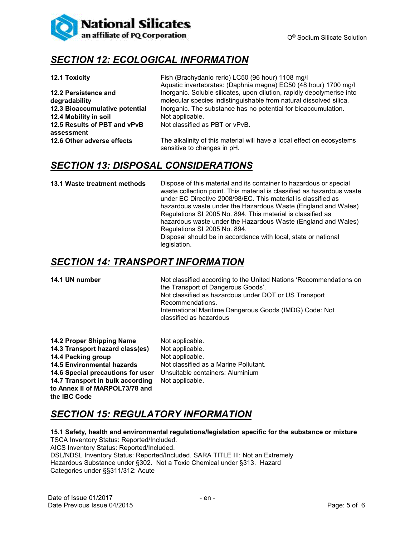

### *SECTION 12: ECOLOGICAL INFORMATION*

|                                            | Aquatic invertebrates: (Daphnia magna) EC50 (48 hour) 1700 mg/l                                       |
|--------------------------------------------|-------------------------------------------------------------------------------------------------------|
| 12.2 Persistence and                       | Inorganic. Soluble silicates, upon dilution, rapidly depolymerise into                                |
| degradability                              | molecular species indistinguishable from natural dissolved silica.                                    |
| 12.3 Bioaccumulative potential             | Inorganic. The substance has no potential for bioaccumulation.                                        |
| 12.4 Mobility in soil                      | Not applicable.                                                                                       |
| 12.5 Results of PBT and vPvB<br>assessment | Not classified as PBT or vPvB.                                                                        |
| 12.6 Other adverse effects                 | The alkalinity of this material will have a local effect on ecosystems<br>sensitive to changes in pH. |
|                                            |                                                                                                       |

**12.1 Toxicity** Fish (Brachydanio rerio) LC50 (96 hour) 1108 mg/l

#### *SECTION 13: DISPOSAL CONSIDERATIONS*

**13.1 Waste treatment methods** Dispose of this material and its container to hazardous or special waste collection point. This material is classified as hazardous waste under EC Directive 2008/98/EC. This material is classified as hazardous waste under the Hazardous Waste (England and Wales) Regulations SI 2005 No. 894. This material is classified as hazardous waste under the Hazardous Waste (England and Wales) Regulations SI 2005 No. 894. Disposal should be in accordance with local, state or national legislation.

#### *SECTION 14: TRANSPORT INFORMATION*

**14.1 UN number** Not classified according to the United Nations 'Recommendations on the Transport of Dangerous Goods'. Not classified as hazardous under DOT or US Transport Recommendations. International Maritime Dangerous Goods (IMDG) Code: Not classified as hazardous

| 14.2 Proper Shipping Name         | Not applicable.                       |
|-----------------------------------|---------------------------------------|
| 14.3 Transport hazard class(es)   | Not applicable.                       |
| 14.4 Packing group                | Not applicable.                       |
| <b>14.5 Environmental hazards</b> | Not classified as a Marine Pollutant. |
| 14.6 Special precautions for user | Unsuitable containers: Aluminium      |
| 14.7 Transport in bulk according  | Not applicable.                       |
| to Annex II of MARPOL73/78 and    |                                       |
| the IBC Code                      |                                       |

### *SECTION 15: REGULATORY INFORMATION*

#### **15.1 Safety, health and environmental regulations/legislation specific for the substance or mixture**

TSCA Inventory Status: Reported/Included. AICS Inventory Status: Reported/Included. DSL/NDSL Inventory Status: Reported/Included. SARA TITLE III: Not an Extremely Hazardous Substance under §302. Not a Toxic Chemical under §313. Hazard Categories under §§311/312: Acute